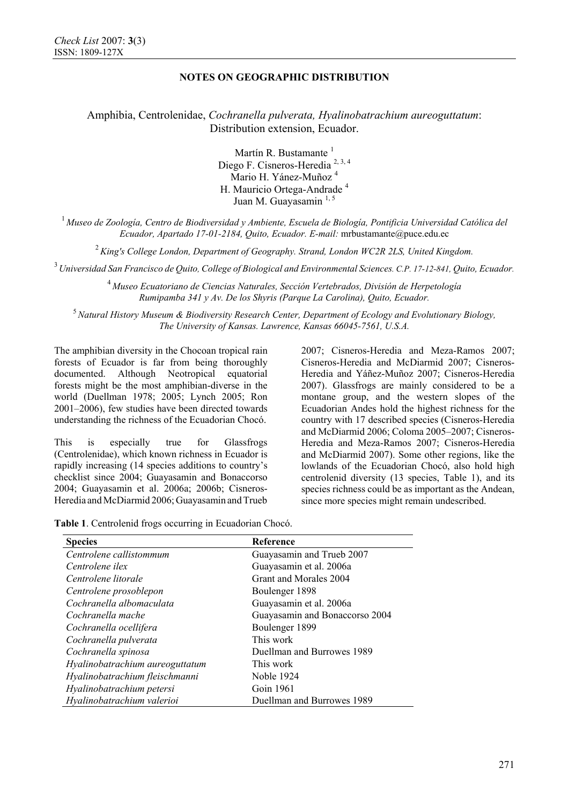Amphibia, Centrolenidae, *Cochranella pulverata, Hyalinobatrachium aureoguttatum*: Distribution extension, Ecuador.

> Martín R. Bustamante<sup>1</sup> Diego F. Cisneros-Heredia<sup>2, 3, 4</sup> Mario H. Yánez-Muñoz 4 H. Mauricio Ortega-Andrade <sup>4</sup> Juan M. Guayasamin 1, 5

<sup>1</sup> *Museo de Zoología, Centro de Biodiversidad y Ambiente, Escuela de Biología, Pontificia Universidad Católica del Ecuador, Apartado 17-01-2184, Quito, Ecuador. E-mail:* mrbustamante@puce.edu.ec

<sup>2</sup>*King's College London, Department of Geography. Strand, London WC2R 2LS, United Kingdom.* 

3 *Universidad San Francisco de Quito, College of Biological and Environmental Sciences. C.P. 17-12-841, Quito, Ecuador.*

<sup>4</sup>*Museo Ecuatoriano de Ciencias Naturales, Sección Vertebrados, División de Herpetología Rumipamba 341 y Av. De los Shyris (Parque La Carolina), Quito, Ecuador.* 

<sup>5</sup>*Natural History Museum & Biodiversity Research Center, Department of Ecology and Evolutionary Biology, The University of Kansas. Lawrence, Kansas 66045-7561, U.S.A.* 

The amphibian diversity in the Chocoan tropical rain forests of Ecuador is far from being thoroughly documented. Although Neotropical equatorial forests might be the most amphibian-diverse in the world (Duellman 1978; 2005; Lynch 2005; Ron 2001–2006), few studies have been directed towards understanding the richness of the Ecuadorian Chocó.

This is especially true for Glassfrogs (Centrolenidae), which known richness in Ecuador is rapidly increasing (14 species additions to country's checklist since 2004; Guayasamin and Bonaccorso 2004; Guayasamin et al. 2006a; 2006b; Cisneros-Heredia and McDiarmid 2006; Guayasamin and Trueb

2007; Cisneros-Heredia and Meza-Ramos 2007; Cisneros-Heredia and McDiarmid 2007; Cisneros-Heredia and Yáñez-Muñoz 2007; Cisneros-Heredia 2007). Glassfrogs are mainly considered to be a montane group, and the western slopes of the Ecuadorian Andes hold the highest richness for the country with 17 described species (Cisneros-Heredia and McDiarmid 2006; Coloma 2005–2007; Cisneros-Heredia and Meza-Ramos 2007; Cisneros-Heredia and McDiarmid 2007). Some other regions, like the lowlands of the Ecuadorian Chocó, also hold high centrolenid diversity (13 species, Table 1), and its species richness could be as important as the Andean, since more species might remain undescribed.

**Table 1**. Centrolenid frogs occurring in Ecuadorian Chocó.

| <b>Species</b>                  | Reference                      |
|---------------------------------|--------------------------------|
| Centrolene callistommum         | Guayasamin and Trueb 2007      |
| Centrolene ilex                 | Guayasamin et al. 2006a        |
| Centrolene litorale             | Grant and Morales 2004         |
| Centrolene prosoblepon          | Boulenger 1898                 |
| Cochranella albomaculata        | Guayasamin et al. 2006a        |
| Cochranella mache               | Guayasamin and Bonaccorso 2004 |
| Cochranella ocellifera          | Boulenger 1899                 |
| Cochranella pulverata           | This work                      |
| Cochranella spinosa             | Duellman and Burrowes 1989     |
| Hyalinobatrachium aureoguttatum | This work                      |
| Hyalinobatrachium fleischmanni  | Noble 1924                     |
| Hyalinobatrachium petersi       | Goin 1961                      |
| Hyalinobatrachium valerioi      | Duellman and Burrowes 1989     |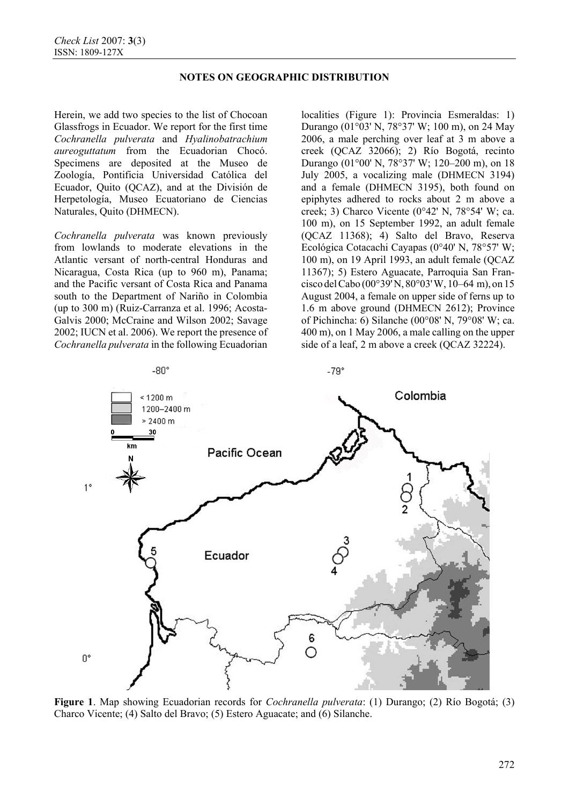Herein, we add two species to the list of Chocoan Glassfrogs in Ecuador. We report for the first time *Cochranella pulverata* and *Hyalinobatrachium aureoguttatum* from the Ecuadorian Chocó. Specimens are deposited at the Museo de Zoología, Pontificia Universidad Católica del Ecuador, Quito (QCAZ), and at the División de Herpetología, Museo Ecuatoriano de Ciencias Naturales, Quito (DHMECN).

*Cochranella pulverata* was known previously from lowlands to moderate elevations in the Atlantic versant of north-central Honduras and Nicaragua, Costa Rica (up to 960 m), Panama; and the Pacific versant of Costa Rica and Panama south to the Department of Nariño in Colombia (up to 300 m) (Ruiz-Carranza et al. 1996; Acosta-Galvis 2000; McCraine and Wilson 2002; Savage 2002; IUCN et al. 2006). We report the presence of *Cochranella pulverata* in the following Ecuadorian

localities (Figure 1): Provincia Esmeraldas: 1) Durango (01°03' N, 78°37' W; 100 m), on 24 May 2006, a male perching over leaf at 3 m above a creek (QCAZ 32066); 2) Río Bogotá, recinto Durango (01°00' N, 78°37' W; 120–200 m), on 18 July 2005, a vocalizing male (DHMECN 3194) and a female (DHMECN 3195), both found on epiphytes adhered to rocks about 2 m above a creek; 3) Charco Vicente  $(0^{\circ}42' \text{ N}, 78^{\circ}54' \text{ W}; \text{ca.})$ 100 m), on 15 September 1992, an adult female (QCAZ 11368); 4) Salto del Bravo, Reserva Ecológica Cotacachi Cayapas (0°40' N, 78°57' W; 100 m), on 19 April 1993, an adult female (QCAZ 11367); 5) Estero Aguacate, Parroquia San Francisco delCabo (00°39'N, 80°03'W, 10–64 m), on 15 August 2004, a female on upper side of ferns up to 1.6 m above ground (DHMECN 2612); Province of Pichincha: 6) Silanche (00°08' N, 79°08' W; ca. 400 m), on 1 May 2006, a male calling on the upper side of a leaf, 2 m above a creek (QCAZ 32224).



**Figure 1**. Map showing Ecuadorian records for *Cochranella pulverata*: (1) Durango; (2) Río Bogotá; (3) Charco Vicente; (4) Salto del Bravo; (5) Estero Aguacate; and (6) Silanche.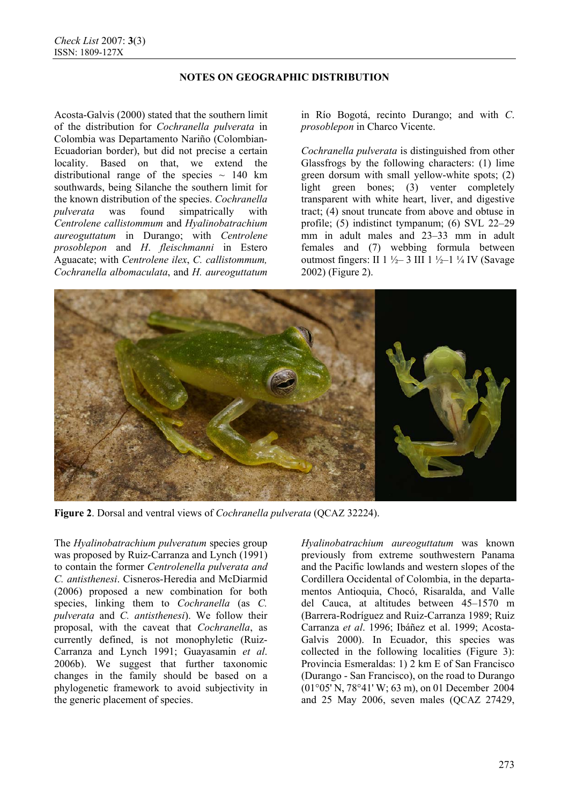Acosta-Galvis (2000) stated that the southern limit of the distribution for *Cochranella pulverata* in Colombia was Departamento Nariño (Colombian-Ecuadorian border), but did not precise a certain locality. Based on that, we extend the distributional range of the species  $\sim 140 \text{ km}$ southwards, being Silanche the southern limit for the known distribution of the species. *Cochranella pulverata* was found simpatrically with *Centrolene callistommum* and *Hyalinobatrachium aureoguttatum* in Durango; with *Centrolene prosoblepon* and *H*. *fleischmanni* in Estero Aguacate; with *Centrolene ilex*, *C. callistommum, Cochranella albomaculata*, and *H. aureoguttatum*

in Río Bogotá, recinto Durango; and with *C*. *prosoblepon* in Charco Vicente.

*Cochranella pulverata* is distinguished from other Glassfrogs by the following characters: (1) lime green dorsum with small yellow-white spots; (2) light green bones; (3) venter completely transparent with white heart, liver, and digestive tract; (4) snout truncate from above and obtuse in profile; (5) indistinct tympanum; (6) SVL 22–29 mm in adult males and 23–33 mm in adult females and (7) webbing formula between outmost fingers: II  $1\frac{1}{2}$  3 III  $1\frac{1}{2}$  1  $\frac{1}{4}$  IV (Savage 2002) (Figure 2).



**Figure 2**. Dorsal and ventral views of *Cochranella pulverata* (QCAZ 32224).

The *Hyalinobatrachium pulveratum* species group was proposed by Ruiz-Carranza and Lynch (1991) to contain the former *Centrolenella pulverata and C. antisthenesi*. Cisneros-Heredia and McDiarmid (2006) proposed a new combination for both species, linking them to *Cochranella* (as *C. pulverata* and *C. antisthenesi*). We follow their proposal, with the caveat that *Cochranella*, as currently defined, is not monophyletic (Ruiz-Carranza and Lynch 1991; Guayasamin *et al*. 2006b). We suggest that further taxonomic changes in the family should be based on a phylogenetic framework to avoid subjectivity in the generic placement of species.

*Hyalinobatrachium aureoguttatum* was known previously from extreme southwestern Panama and the Pacific lowlands and western slopes of the Cordillera Occidental of Colombia, in the departamentos Antioquia, Chocó, Risaralda, and Valle del Cauca, at altitudes between 45–1570 m (Barrera-Rodríguez and Ruiz-Carranza 1989; Ruiz Carranza *et al*. 1996; Ibáñez et al. 1999; Acosta-Galvis 2000). In Ecuador, this species was collected in the following localities (Figure 3): Provincia Esmeraldas: 1) 2 km E of San Francisco (Durango - San Francisco), on the road to Durango (01°05' N, 78°41' W; 63 m), on 01 December 2004 and 25 May 2006, seven males (QCAZ 27429,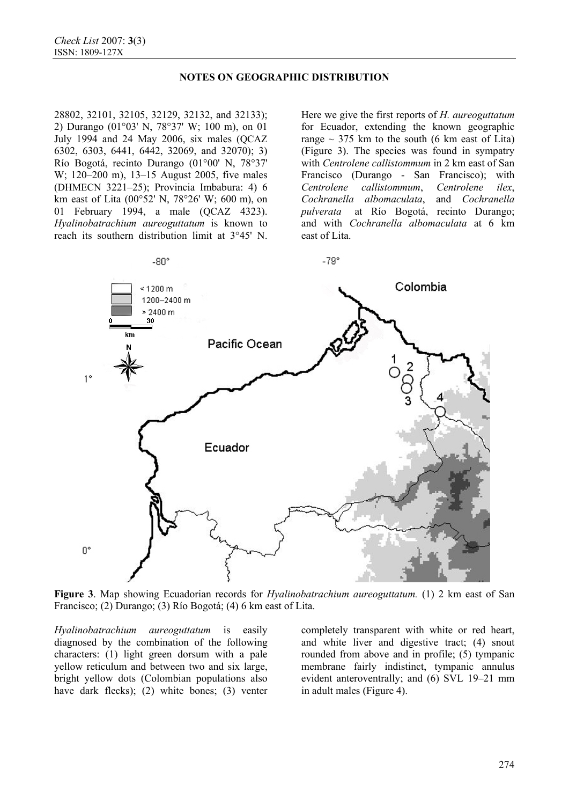28802, 32101, 32105, 32129, 32132, and 32133); 2) Durango (01°03' N, 78°37' W; 100 m), on 01 July 1994 and 24 May 2006, six males (QCAZ 6302, 6303, 6441, 6442, 32069, and 32070); 3) Río Bogotá, recinto Durango (01°00' N, 78°37' W; 120–200 m), 13–15 August 2005, five males (DHMECN 3221–25); Provincia Imbabura: 4) 6 km east of Lita (00°52' N, 78°26' W; 600 m), on 01 February 1994, a male (QCAZ 4323). *Hyalinobatrachium aureoguttatum* is known to reach its southern distribution limit at 3°45' N.

Here we give the first reports of *H. aureoguttatum* for Ecuador, extending the known geographic range  $\sim$  375 km to the south (6 km east of Lita) (Figure 3). The species was found in sympatry with *Centrolene callistommum* in 2 km east of San Francisco (Durango - San Francisco); with *Centrolene callistommum*, *Centrolene ilex*, *Cochranella albomaculata*, and *Cochranella pulverata* at Río Bogotá, recinto Durango; and with *Cochranella albomaculata* at 6 km east of Lita.



**Figure 3**. Map showing Ecuadorian records for *Hyalinobatrachium aureoguttatum.* (1) 2 km east of San Francisco; (2) Durango; (3) Río Bogotá; (4) 6 km east of Lita.

*Hyalinobatrachium aureoguttatum* is easily diagnosed by the combination of the following characters: (1) light green dorsum with a pale yellow reticulum and between two and six large, bright yellow dots (Colombian populations also have dark flecks); (2) white bones; (3) venter completely transparent with white or red heart, and white liver and digestive tract; (4) snout rounded from above and in profile; (5) tympanic membrane fairly indistinct, tympanic annulus evident anteroventrally; and (6) SVL 19–21 mm in adult males (Figure 4).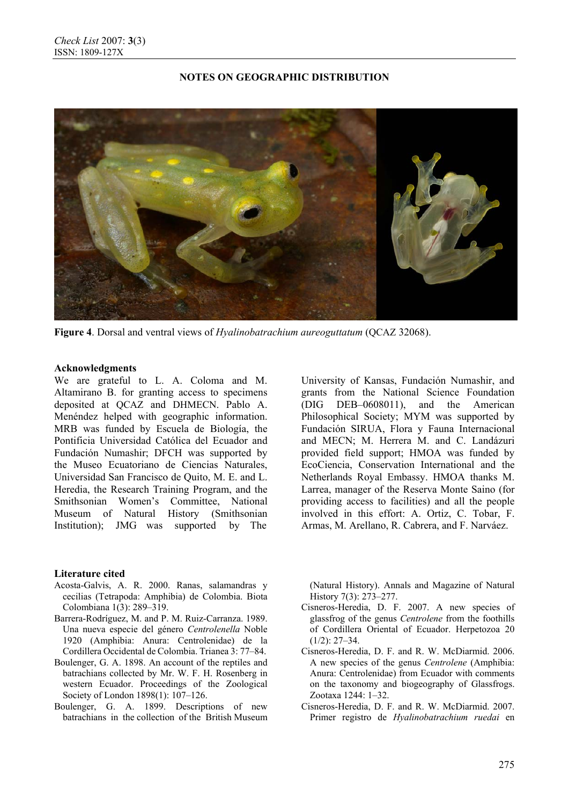

**Figure 4**. Dorsal and ventral views of *Hyalinobatrachium aureoguttatum* (QCAZ 32068).

## **Acknowledgments**

We are grateful to L. A. Coloma and M. Altamirano B. for granting access to specimens deposited at QCAZ and DHMECN. Pablo A. Menéndez helped with geographic information. MRB was funded by Escuela de Biología, the Pontificia Universidad Católica del Ecuador and Fundación Numashir; DFCH was supported by the Museo Ecuatoriano de Ciencias Naturales, Universidad San Francisco de Quito, M. E. and L. Heredia, the Research Training Program, and the Smithsonian Women's Committee, National Museum of Natural History (Smithsonian Institution); JMG was supported by The

## **Literature cited**

- Acosta-Galvis, A. R. 2000. Ranas, salamandras y cecilias (Tetrapoda: Amphibia) de Colombia. Biota Colombiana 1(3): 289–319.
- Barrera-Rodríguez, M. and P. M. Ruiz-Carranza. 1989. Una nueva especie del género *Centrolenella* Noble 1920 (Amphibia: Anura: Centrolenidae) de la Cordillera Occidental de Colombia. Trianea 3: 77–84.
- Boulenger, G. A. 1898. An account of the reptiles and batrachians collected by Mr. W. F. H. Rosenberg in western Ecuador. Proceedings of the Zoological Society of London 1898(1): 107–126.
- Boulenger, G. A. 1899. Descriptions of new batrachians in the collection of the British Museum

University of Kansas, Fundación Numashir, and grants from the National Science Foundation (DIG DEB–0608011), and the American Philosophical Society; MYM was supported by Fundación SIRUA, Flora y Fauna Internacional and MECN; M. Herrera M. and C. Landázuri provided field support; HMOA was funded by EcoCiencia, Conservation International and the Netherlands Royal Embassy. HMOA thanks M. Larrea, manager of the Reserva Monte Saino (for providing access to facilities) and all the people involved in this effort: A. Ortiz, C. Tobar, F. Armas, M. Arellano, R. Cabrera, and F. Narváez.

(Natural History). Annals and Magazine of Natural History 7(3): 273–277.

- Cisneros-Heredia, D. F. 2007. A new species of glassfrog of the genus *Centrolene* from the foothills of Cordillera Oriental of Ecuador. Herpetozoa 20  $(1/2)$ : 27–34.
- Cisneros-Heredia, D. F. and R. W. McDiarmid. 2006. A new species of the genus *Centrolene* (Amphibia: Anura: Centrolenidae) from Ecuador with comments on the taxonomy and biogeography of Glassfrogs. Zootaxa 1244: 1–32.
- Cisneros-Heredia, D. F. and R. W. McDiarmid. 2007. Primer registro de *Hyalinobatrachium ruedai* en